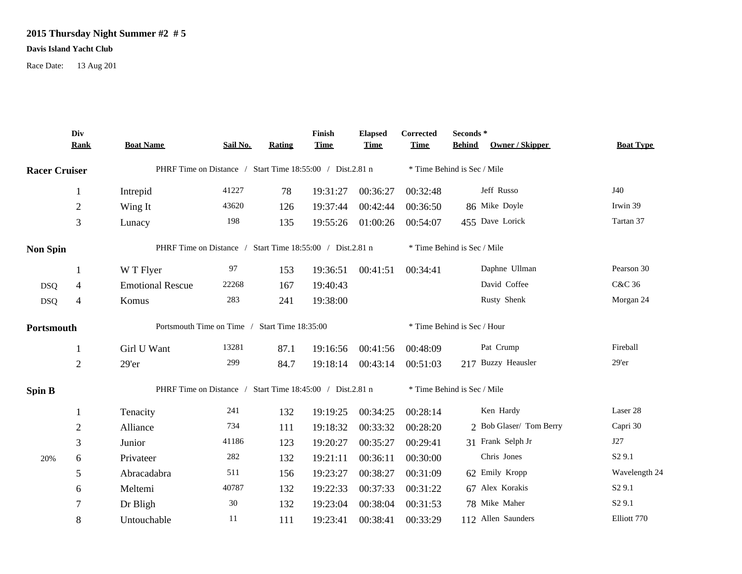## **2015 Thursday Night Summer #2 # 5**

## **Davis Island Yacht Club**

Race Date: 13 Aug 201

|                      | Div<br><b>Rank</b> | <b>Boat Name</b>                                          | Sail No. | Rating | Finish<br><b>Time</b> | <b>Elapsed</b><br><b>Time</b> | Corrected<br><b>Time</b>    | Seconds*<br><b>Behind</b> | Owner / Skipper         | <b>Boat Type</b>   |
|----------------------|--------------------|-----------------------------------------------------------|----------|--------|-----------------------|-------------------------------|-----------------------------|---------------------------|-------------------------|--------------------|
| <b>Racer Cruiser</b> |                    | PHRF Time on Distance / Start Time 18:55:00 / Dist.2.81 n |          |        |                       |                               | * Time Behind is Sec / Mile |                           |                         |                    |
|                      | $\mathbf{1}$       | Intrepid                                                  | 41227    | 78     | 19:31:27              | 00:36:27                      | 00:32:48                    |                           | Jeff Russo              | J40                |
|                      | $\sqrt{2}$         | Wing It                                                   | 43620    | 126    | 19:37:44              | 00:42:44                      | 00:36:50                    |                           | 86 Mike Doyle           | Irwin 39           |
|                      | 3                  | Lunacy                                                    | 198      | 135    | 19:55:26              | 01:00:26                      | 00:54:07                    |                           | 455 Dave Lorick         | Tartan 37          |
| <b>Non Spin</b>      |                    | PHRF Time on Distance / Start Time 18:55:00 / Dist.2.81 n |          |        |                       |                               | * Time Behind is Sec / Mile |                           |                         |                    |
|                      |                    | W T Flyer                                                 | 97       | 153    | 19:36:51              | 00:41:51                      | 00:34:41                    |                           | Daphne Ullman           | Pearson 30         |
| <b>DSQ</b>           | 4                  | <b>Emotional Rescue</b>                                   | 22268    | 167    | 19:40:43              |                               |                             |                           | David Coffee            | C&C 36             |
| <b>DSQ</b>           | $\overline{4}$     | Komus                                                     | 283      | 241    | 19:38:00              |                               |                             |                           | Rusty Shenk             | Morgan 24          |
| Portsmouth           |                    | Portsmouth Time on Time / Start Time 18:35:00             |          |        |                       | * Time Behind is Sec / Hour   |                             |                           |                         |                    |
|                      |                    | Girl U Want                                               | 13281    | 87.1   | 19:16:56              | 00:41:56                      | 00:48:09                    |                           | Pat Crump               | Fireball           |
|                      | $\overline{2}$     | 29'er                                                     | 299      | 84.7   | 19:18:14              | 00:43:14                      | 00:51:03                    |                           | 217 Buzzy Heausler      | $29'$ er           |
| Spin B               |                    | PHRF Time on Distance / Start Time 18:45:00 / Dist.2.81 n |          |        |                       |                               | * Time Behind is Sec / Mile |                           |                         |                    |
|                      |                    | Tenacity                                                  | 241      | 132    | 19:19:25              | 00:34:25                      | 00:28:14                    |                           | Ken Hardy               | Laser 28           |
|                      | 2                  | Alliance                                                  | 734      | 111    | 19:18:32              | 00:33:32                      | 00:28:20                    |                           | 2 Bob Glaser/ Tom Berry | Capri 30           |
|                      | 3                  | Junior                                                    | 41186    | 123    | 19:20:27              | 00:35:27                      | 00:29:41                    |                           | 31 Frank Selph Jr       | J27                |
| 20%                  | 6                  | Privateer                                                 | 282      | 132    | 19:21:11              | 00:36:11                      | 00:30:00                    |                           | Chris Jones             | S <sub>2</sub> 9.1 |
|                      | 5                  | Abracadabra                                               | 511      | 156    | 19:23:27              | 00:38:27                      | 00:31:09                    |                           | 62 Emily Kropp          | Wavelength 24      |
|                      | 6                  | Meltemi                                                   | 40787    | 132    | 19:22:33              | 00:37:33                      | 00:31:22                    |                           | 67 Alex Korakis         | S <sub>2</sub> 9.1 |
|                      | $\tau$             | Dr Bligh                                                  | 30       | 132    | 19:23:04              | 00:38:04                      | 00:31:53                    |                           | 78 Mike Maher           | S <sub>2</sub> 9.1 |
|                      | 8                  | Untouchable                                               | 11       | 111    | 19:23:41              | 00:38:41                      | 00:33:29                    |                           | 112 Allen Saunders      | Elliott 770        |